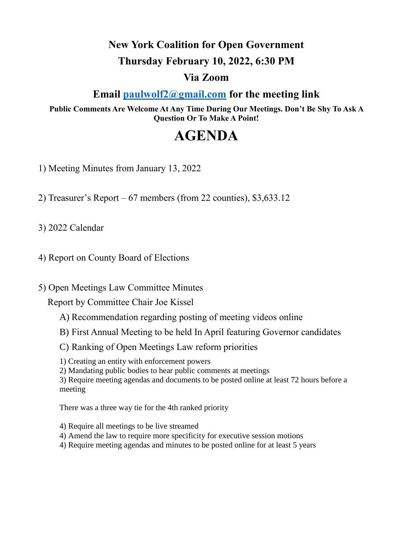# **New York Coalition for Open Government**

#### **Thursday February 10, 2022, 6:30 PM**

#### **Via Zoom**

### **Email [paulwolf2@gmail.com](mailto:paulwolf2@gmail.com) for the meeting link**

**Public Comments Are Welcome At Any Time During Our Meetings. Don't Be Shy To Ask A Question Or To Make A Point!**

## **AGENDA**

1) Meeting Minutes from January 13, 2022

2) Treasurer's Report –  $67$  members (from 22 counties),  $$3,633.12$ 

3) 2022 Calendar

4) Report on County Board of Elections

5) Open Meetings Law Committee Minutes

Report by Committee Chair Joe Kissel

- A) Recommendation regarding posting of meeting videos online
- B) First Annual Meeting to be held In April featuring Governor candidates
- C) Ranking of Open Meetings Law reform priorities

1) Creating an entity with enforcement powers

2) Mandating public bodies to hear public comments at meetings

3) Require meeting agendas and documents to be posted online at least 72 hours before a meeting

There was a three way tie for the 4th ranked priority

- 4) Require all meetings to be live streamed
- 4) Amend the law to require more specificity for executive session motions
- 4) Require meeting agendas and minutes to be posted online for at least 5 years